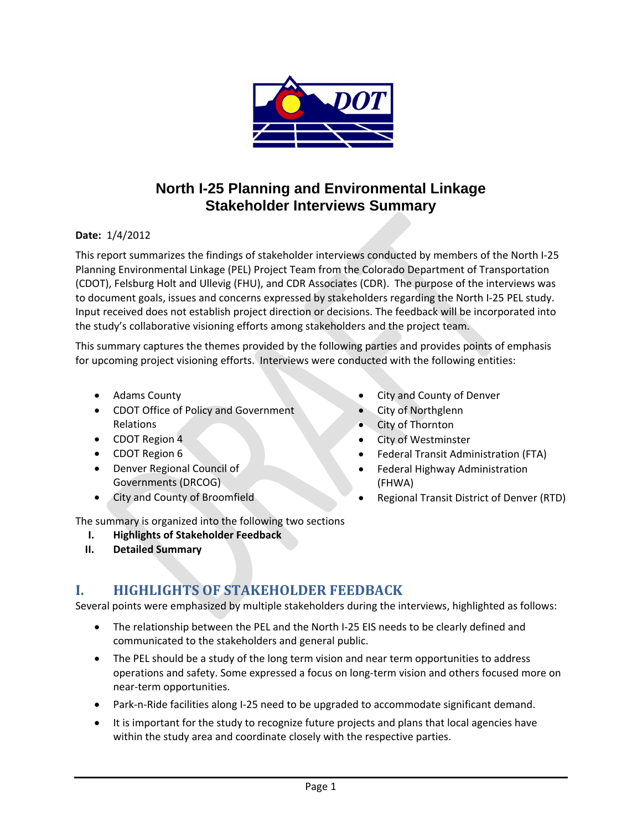

# **North I-25 Planning and Environmental Linkage Stakeholder Interviews Summary**

#### **Date:** 1/4/2012

This report summarizes the findings of stakeholder interviews conducted by members of the North I‐25 Planning Environmental Linkage (PEL) Project Team from the Colorado Department of Transportation (CDOT), Felsburg Holt and Ullevig (FHU), and CDR Associates (CDR). The purpose of the interviews was to document goals, issues and concerns expressed by stakeholders regarding the North I‐25 PEL study. Input received does not establish project direction or decisions. The feedback will be incorporated into the study's collaborative visioning efforts among stakeholders and the project team.

This summary captures the themes provided by the following parties and provides points of emphasis for upcoming project visioning efforts. Interviews were conducted with the following entities:

- Adams County
- CDOT Office of Policy and Government Relations
- CDOT Region 4
- CDOT Region 6
- Denver Regional Council of Governments (DRCOG)
- City and County of Broomfield
- City and County of Denver
- City of Northglenn
- City of Thornton
- City of Westminster
- Federal Transit Administration (FTA)
- Federal Highway Administration (FHWA)
- Regional Transit District of Denver (RTD)

The summary is organized into the following two sections

- **I. Highlights of Stakeholder Feedback**
- **II. Detailed Summary**

## **I. HIGHLIGHTS OF STAKEHOLDER FEEDBACK**

Several points were emphasized by multiple stakeholders during the interviews, highlighted as follows:

- The relationship between the PEL and the North I-25 EIS needs to be clearly defined and communicated to the stakeholders and general public.
- The PEL should be a study of the long term vision and near term opportunities to address operations and safety. Some expressed a focus on long‐term vision and others focused more on near‐term opportunities.
- Park-n-Ride facilities along I-25 need to be upgraded to accommodate significant demand.
- It is important for the study to recognize future projects and plans that local agencies have within the study area and coordinate closely with the respective parties.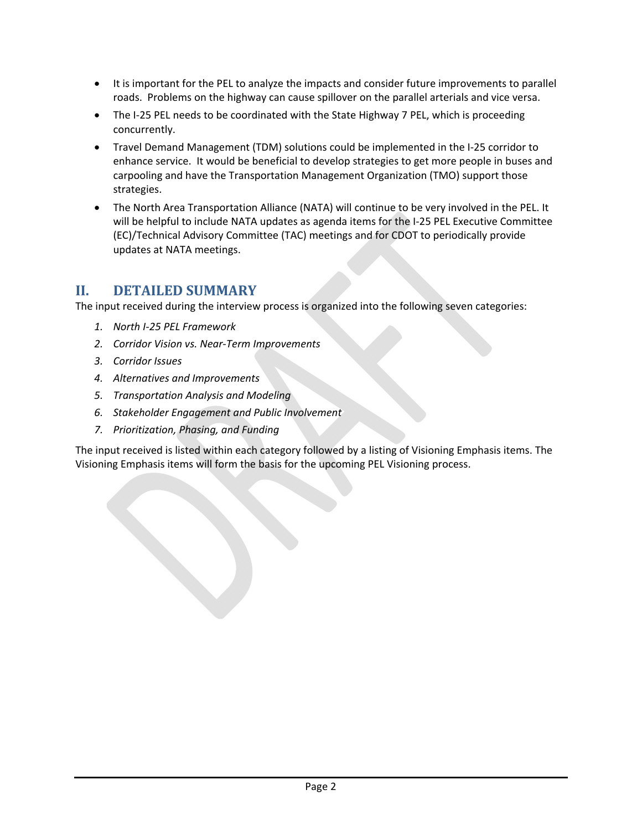- It is important for the PEL to analyze the impacts and consider future improvements to parallel roads. Problems on the highway can cause spillover on the parallel arterials and vice versa.
- The I-25 PEL needs to be coordinated with the State Highway 7 PEL, which is proceeding concurrently.
- Travel Demand Management (TDM) solutions could be implemented in the I‐25 corridor to enhance service. It would be beneficial to develop strategies to get more people in buses and carpooling and have the Transportation Management Organization (TMO) support those strategies.
- The North Area Transportation Alliance (NATA) will continue to be very involved in the PEL. It will be helpful to include NATA updates as agenda items for the I‐25 PEL Executive Committee (EC)/Technical Advisory Committee (TAC) meetings and for CDOT to periodically provide updates at NATA meetings.

### **II. DETAILED SUMMARY**

The input received during the interview process is organized into the following seven categories:

- *1. North I‐25 PEL Framework*
- *2. Corridor Vision vs. Near‐Term Improvements*
- *3. Corridor Issues*

the contract of the contract of the

- *4. Alternatives and Improvements*
- *5. Transportation Analysis and Modeling*
- *6. Stakeholder Engagement and Public Involvement*
- *7. Prioritization, Phasing, and Funding*

The input received is listed within each category followed by a listing of Visioning Emphasis items. The Visioning Emphasis items will form the basis for the upcoming PEL Visioning process.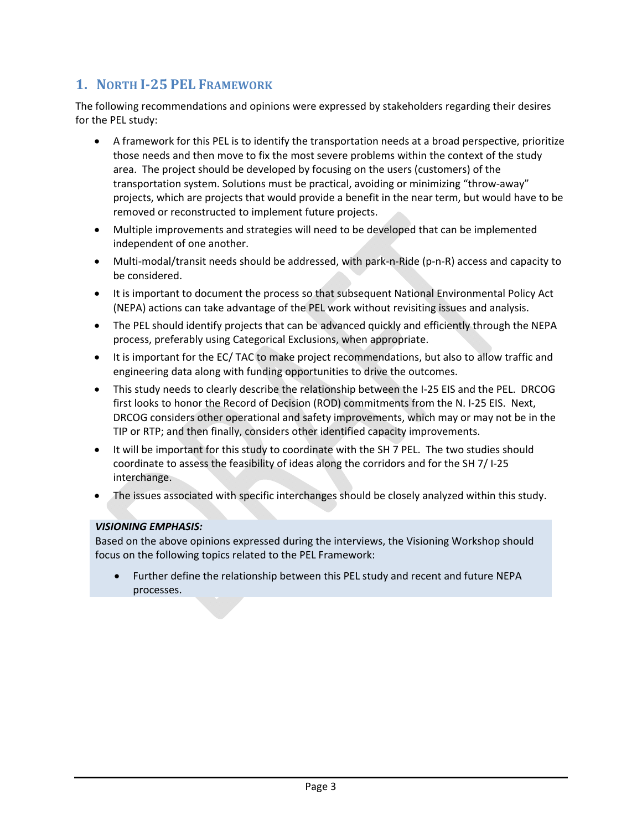## **1. NORTH I25 PEL FRAMEWORK**

The following recommendations and opinions were expressed by stakeholders regarding their desires for the PEL study:

- A framework for this PEL is to identify the transportation needs at a broad perspective, prioritize those needs and then move to fix the most severe problems within the context of the study area. The project should be developed by focusing on the users (customers) of the transportation system. Solutions must be practical, avoiding or minimizing "throw-away" projects, which are projects that would provide a benefit in the near term, but would have to be removed or reconstructed to implement future projects.
- Multiple improvements and strategies will need to be developed that can be implemented independent of one another.
- Multi‐modal/transit needs should be addressed, with park‐n‐Ride (p‐n‐R) access and capacity to be considered.
- It is important to document the process so that subsequent National Environmental Policy Act (NEPA) actions can take advantage of the PEL work without revisiting issues and analysis.
- The PEL should identify projects that can be advanced quickly and efficiently through the NEPA process, preferably using Categorical Exclusions, when appropriate.
- It is important for the EC/ TAC to make project recommendations, but also to allow traffic and engineering data along with funding opportunities to drive the outcomes.
- This study needs to clearly describe the relationship between the I‐25 EIS and the PEL. DRCOG first looks to honor the Record of Decision (ROD) commitments from the N. I‐25 EIS. Next, DRCOG considers other operational and safety improvements, which may or may not be in the TIP or RTP; and then finally, considers other identified capacity improvements.
- It will be important for this study to coordinate with the SH 7 PEL. The two studies should coordinate to assess the feasibility of ideas along the corridors and for the SH 7/ I‐25 interchange.
- The issues associated with specific interchanges should be closely analyzed within this study.

#### *VISIONING EMPHASIS:*

the contract of the contract of the

Based on the above opinions expressed during the interviews, the Visioning Workshop should focus on the following topics related to the PEL Framework:

• Further define the relationship between this PEL study and recent and future NEPA processes.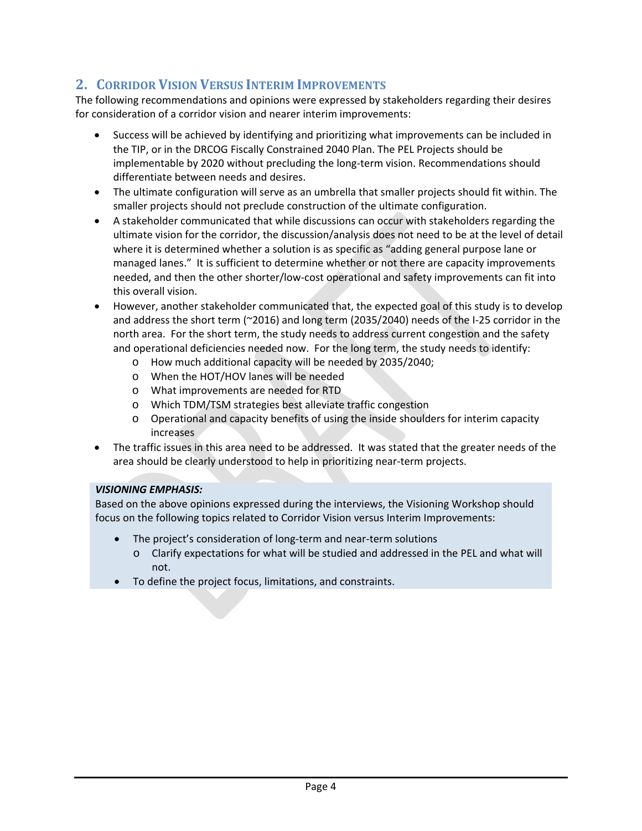## **2. CORRIDOR VISION VERSUS INTERIM IMPROVEMENTS**

The following recommendations and opinions were expressed by stakeholders regarding their desires for consideration of a corridor vision and nearer interim improvements:

- Success will be achieved by identifying and prioritizing what improvements can be included in the TIP, or in the DRCOG Fiscally Constrained 2040 Plan. The PEL Projects should be implementable by 2020 without precluding the long‐term vision. Recommendations should differentiate between needs and desires.
- The ultimate configuration will serve as an umbrella that smaller projects should fit within. The smaller projects should not preclude construction of the ultimate configuration.
- A stakeholder communicated that while discussions can occur with stakeholders regarding the ultimate vision for the corridor, the discussion/analysis does not need to be at the level of detail where it is determined whether a solution is as specific as "adding general purpose lane or managed lanes." It is sufficient to determine whether or not there are capacity improvements needed, and then the other shorter/low‐cost operational and safety improvements can fit into this overall vision.
- However, another stakeholder communicated that, the expected goal of this study is to develop and address the short term (~2016) and long term (2035/2040) needs of the I‐25 corridor in the north area. For the short term, the study needs to address current congestion and the safety and operational deficiencies needed now. For the long term, the study needs to identify:
	- o How much additional capacity will be needed by 2035/2040;
	- o When the HOT/HOV lanes will be needed
	- o What improvements are needed for RTD
	- o Which TDM/TSM strategies best alleviate traffic congestion
	- o Operational and capacity benefits of using the inside shoulders for interim capacity increases
- The traffic issues in this area need to be addressed. It was stated that the greater needs of the area should be clearly understood to help in prioritizing near‐term projects.

#### *VISIONING EMPHASIS:*

Based on the above opinions expressed during the interviews, the Visioning Workshop should focus on the following topics related to Corridor Vision versus Interim Improvements:

- The project's consideration of long‐term and near‐term solutions
	- o Clarify expectations for what will be studied and addressed in the PEL and what will not.
- To define the project focus, limitations, and constraints.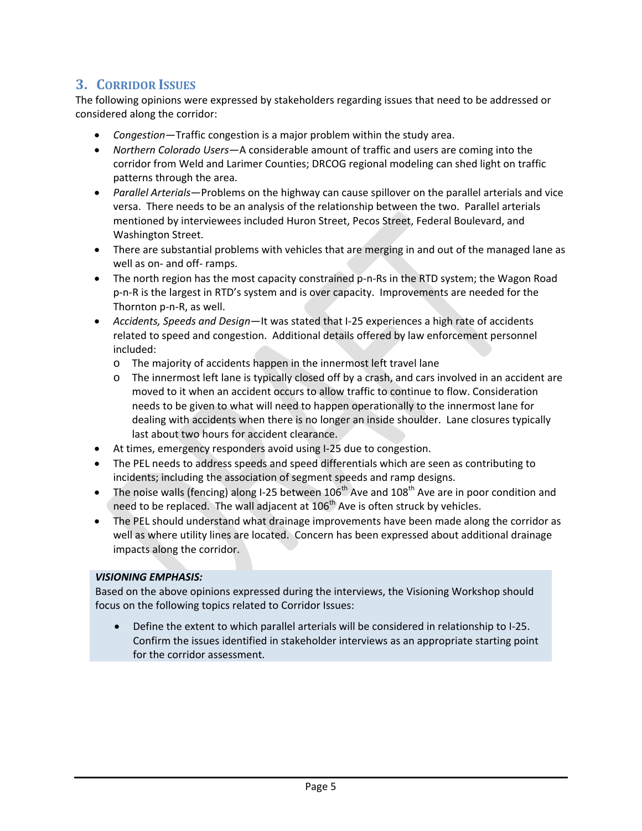## **3. CORRIDOR ISSUES**

The following opinions were expressed by stakeholders regarding issues that need to be addressed or considered along the corridor:

- *Congestion*—Traffic congestion is a major problem within the study area.
- *Northern Colorado Users*—A considerable amount of traffic and users are coming into the corridor from Weld and Larimer Counties; DRCOG regional modeling can shed light on traffic patterns through the area.
- *Parallel Arterials*—Problems on the highway can cause spillover on the parallel arterials and vice versa. There needs to be an analysis of the relationship between the two. Parallel arterials mentioned by interviewees included Huron Street, Pecos Street, Federal Boulevard, and Washington Street.
- There are substantial problems with vehicles that are merging in and out of the managed lane as well as on‐ and off‐ ramps.
- The north region has the most capacity constrained p-n-Rs in the RTD system; the Wagon Road p‐n‐R is the largest in RTD's system and is over capacity. Improvements are needed for the Thornton p‐n‐R, as well.
- *Accidents, Speeds and Design*—It was stated that I‐25 experiences a high rate of accidents related to speed and congestion. Additional details offered by law enforcement personnel included:
	- o The majority of accidents happen in the innermost left travel lane
	- o The innermost left lane is typically closed off by a crash, and cars involved in an accident are moved to it when an accident occurs to allow traffic to continue to flow. Consideration needs to be given to what will need to happen operationally to the innermost lane for dealing with accidents when there is no longer an inside shoulder. Lane closures typically last about two hours for accident clearance.
- At times, emergency responders avoid using I‐25 due to congestion.
- The PEL needs to address speeds and speed differentials which are seen as contributing to incidents; including the association of segment speeds and ramp designs.
- The noise walls (fencing) along I-25 between  $106<sup>th</sup>$  Ave and  $108<sup>th</sup>$  Ave are in poor condition and need to be replaced. The wall adjacent at  $106<sup>th</sup>$  Ave is often struck by vehicles.
- The PEL should understand what drainage improvements have been made along the corridor as well as where utility lines are located. Concern has been expressed about additional drainage impacts along the corridor.

#### *VISIONING EMPHASIS:*

Based on the above opinions expressed during the interviews, the Visioning Workshop should focus on the following topics related to Corridor Issues:

• Define the extent to which parallel arterials will be considered in relationship to I-25. Confirm the issues identified in stakeholder interviews as an appropriate starting point for the corridor assessment.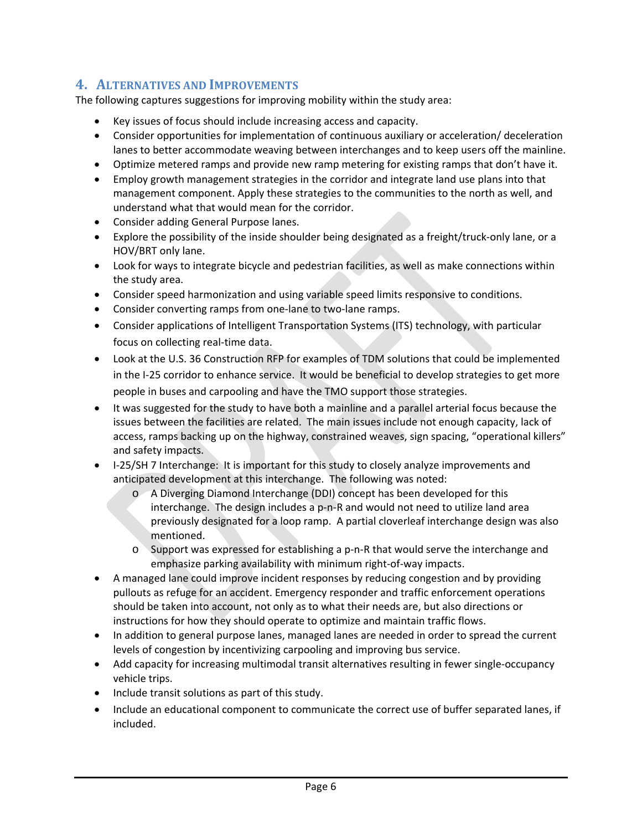### **4. ALTERNATIVES AND IMPROVEMENTS**

The following captures suggestions for improving mobility within the study area:

- Key issues of focus should include increasing access and capacity.
- Consider opportunities for implementation of continuous auxiliary or acceleration/ deceleration lanes to better accommodate weaving between interchanges and to keep users off the mainline.
- Optimize metered ramps and provide new ramp metering for existing ramps that don't have it.
- Employ growth management strategies in the corridor and integrate land use plans into that management component. Apply these strategies to the communities to the north as well, and understand what that would mean for the corridor.
- Consider adding General Purpose lanes.
- Explore the possibility of the inside shoulder being designated as a freight/truck‐only lane, or a HOV/BRT only lane.
- Look for ways to integrate bicycle and pedestrian facilities, as well as make connections within the study area.
- Consider speed harmonization and using variable speed limits responsive to conditions.
- Consider converting ramps from one-lane to two-lane ramps.
- Consider applications of Intelligent Transportation Systems (ITS) technology, with particular focus on collecting real‐time data.
- Look at the U.S. 36 Construction RFP for examples of TDM solutions that could be implemented in the I-25 corridor to enhance service. It would be beneficial to develop strategies to get more people in buses and carpooling and have the TMO support those strategies.
- It was suggested for the study to have both a mainline and a parallel arterial focus because the issues between the facilities are related. The main issues include not enough capacity, lack of access, ramps backing up on the highway, constrained weaves, sign spacing, "operational killers" and safety impacts.
- I-25/SH 7 Interchange: It is important for this study to closely analyze improvements and anticipated development at this interchange. The following was noted:
	- o A Diverging Diamond Interchange (DDI) concept has been developed for this interchange. The design includes a p‐n‐R and would not need to utilize land area previously designated for a loop ramp. A partial cloverleaf interchange design was also mentioned.
	- o Support was expressed for establishing a p‐n‐R that would serve the interchange and emphasize parking availability with minimum right‐of‐way impacts.
- A managed lane could improve incident responses by reducing congestion and by providing pullouts as refuge for an accident. Emergency responder and traffic enforcement operations should be taken into account, not only as to what their needs are, but also directions or instructions for how they should operate to optimize and maintain traffic flows.
- In addition to general purpose lanes, managed lanes are needed in order to spread the current levels of congestion by incentivizing carpooling and improving bus service.
- Add capacity for increasing multimodal transit alternatives resulting in fewer single‐occupancy vehicle trips.
- Include transit solutions as part of this study.
- Include an educational component to communicate the correct use of buffer separated lanes, if included.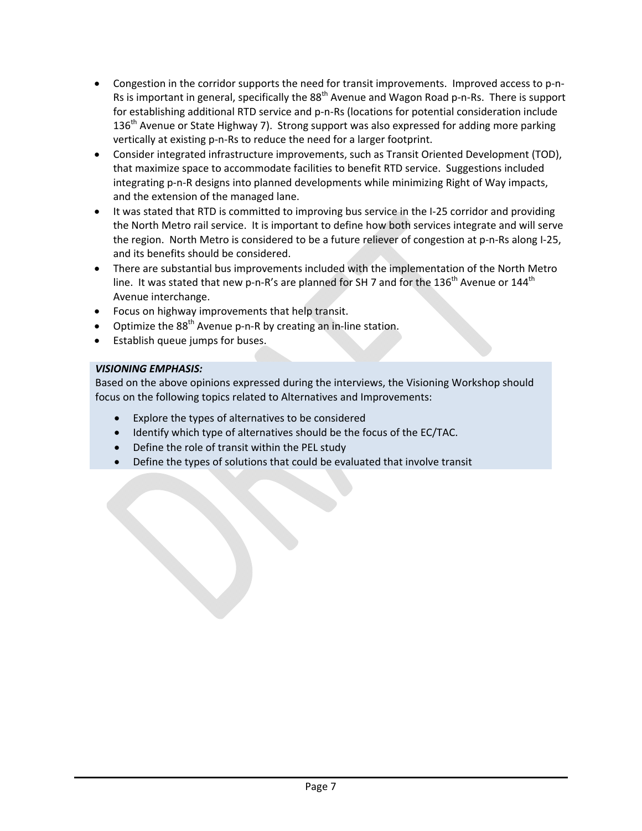- Congestion in the corridor supports the need for transit improvements. Improved access to p-n-Rs is important in general, specifically the 88<sup>th</sup> Avenue and Wagon Road p-n-Rs. There is support for establishing additional RTD service and p-n-Rs (locations for potential consideration include  $136<sup>th</sup>$  Avenue or State Highway 7). Strong support was also expressed for adding more parking vertically at existing p-n-Rs to reduce the need for a larger footprint.
- Consider integrated infrastructure improvements, such as Transit Oriented Development (TOD), that maximize space to accommodate facilities to benefit RTD service. Suggestions included integrating p‐n‐R designs into planned developments while minimizing Right of Way impacts, and the extension of the managed lane.
- It was stated that RTD is committed to improving bus service in the I-25 corridor and providing the North Metro rail service. It is important to define how both services integrate and will serve the region. North Metro is considered to be a future reliever of congestion at p-n-Rs along I-25, and its benefits should be considered.
- There are substantial bus improvements included with the implementation of the North Metro line. It was stated that new p-n-R's are planned for SH 7 and for the 136<sup>th</sup> Avenue or 144<sup>th</sup> Avenue interchange.
- Focus on highway improvements that help transit.
- Optimize the  $88<sup>th</sup>$  Avenue p-n-R by creating an in-line station.
- Establish queue jumps for buses.

#### *VISIONING EMPHASIS:*

Based on the above opinions expressed during the interviews, the Visioning Workshop should focus on the following topics related to Alternatives and Improvements:

- Explore the types of alternatives to be considered
- Identify which type of alternatives should be the focus of the EC/TAC.
- Define the role of transit within the PEL study
- Define the types of solutions that could be evaluated that involve transit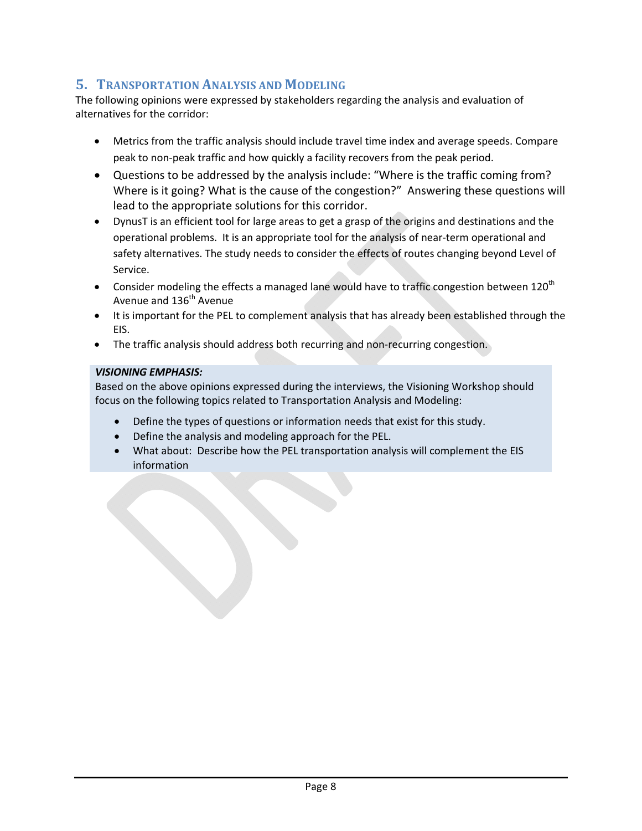### **5. TRANSPORTATION ANALYSIS AND MODELING**

The following opinions were expressed by stakeholders regarding the analysis and evaluation of alternatives for the corridor:

- Metrics from the traffic analysis should include travel time index and average speeds. Compare peak to non‐peak traffic and how quickly a facility recovers from the peak period.
- Questions to be addressed by the analysis include: "Where is the traffic coming from? Where is it going? What is the cause of the congestion?" Answering these questions will lead to the appropriate solutions for this corridor.
- DynusT is an efficient tool for large areas to get a grasp of the origins and destinations and the operational problems. It is an appropriate tool for the analysis of near-term operational and safety alternatives. The study needs to consider the effects of routes changing beyond Level of Service.
- Consider modeling the effects a managed lane would have to traffic congestion between 120<sup>th</sup> Avenue and 136<sup>th</sup> Avenue
- It is important for the PEL to complement analysis that has already been established through the EIS.
- The traffic analysis should address both recurring and non-recurring congestion.

#### *VISIONING EMPHASIS:*

Based on the above opinions expressed during the interviews, the Visioning Workshop should focus on the following topics related to Transportation Analysis and Modeling:

- Define the types of questions or information needs that exist for this study.
- Define the analysis and modeling approach for the PEL.
- What about: Describe how the PEL transportation analysis will complement the EIS information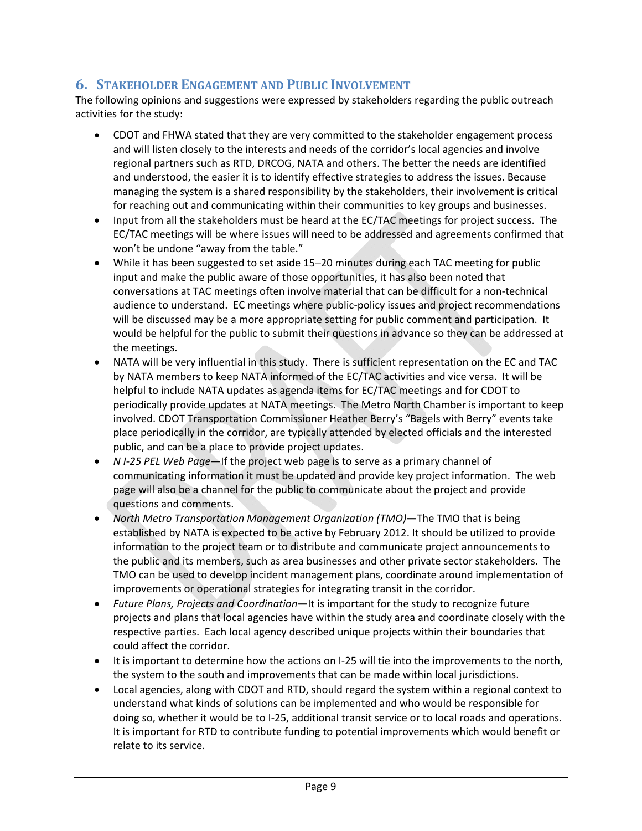### **6. STAKEHOLDER ENGAGEMENT AND PUBLIC INVOLVEMENT**

The following opinions and suggestions were expressed by stakeholders regarding the public outreach activities for the study:

- CDOT and FHWA stated that they are very committed to the stakeholder engagement process and will listen closely to the interests and needs of the corridor's local agencies and involve regional partners such as RTD, DRCOG, NATA and others. The better the needs are identified and understood, the easier it is to identify effective strategies to address the issues. Because managing the system is a shared responsibility by the stakeholders, their involvement is critical for reaching out and communicating within their communities to key groups and businesses.
- Input from all the stakeholders must be heard at the EC/TAC meetings for project success. The EC/TAC meetings will be where issues will need to be addressed and agreements confirmed that won't be undone "away from the table."
- While it has been suggested to set aside 15–20 minutes during each TAC meeting for public input and make the public aware of those opportunities, it has also been noted that conversations at TAC meetings often involve material that can be difficult for a non‐technical audience to understand. EC meetings where public‐policy issues and project recommendations will be discussed may be a more appropriate setting for public comment and participation. It would be helpful for the public to submit their questions in advance so they can be addressed at the meetings.
- NATA will be very influential in this study. There is sufficient representation on the EC and TAC by NATA members to keep NATA informed of the EC/TAC activities and vice versa. It will be helpful to include NATA updates as agenda items for EC/TAC meetings and for CDOT to periodically provide updates at NATA meetings. The Metro North Chamber is important to keep involved. CDOT Transportation Commissioner Heather Berry's "Bagels with Berry" events take place periodically in the corridor, are typically attended by elected officials and the interested public, and can be a place to provide project updates.
- *N I‐25 PEL Web Page***—**If the project web page is to serve as a primary channel of communicating information it must be updated and provide key project information. The web page will also be a channel for the public to communicate about the project and provide questions and comments.
- *North Metro Transportation Management Organization (TMO)***—**The TMO that is being established by NATA is expected to be active by February 2012. It should be utilized to provide information to the project team or to distribute and communicate project announcements to the public and its members, such as area businesses and other private sector stakeholders. The TMO can be used to develop incident management plans, coordinate around implementation of improvements or operational strategies for integrating transit in the corridor.
- *Future Plans, Projects and Coordination***—**It is important for the study to recognize future projects and plans that local agencies have within the study area and coordinate closely with the respective parties. Each local agency described unique projects within their boundaries that could affect the corridor.
- It is important to determine how the actions on I-25 will tie into the improvements to the north, the system to the south and improvements that can be made within local jurisdictions.
- Local agencies, along with CDOT and RTD, should regard the system within a regional context to understand what kinds of solutions can be implemented and who would be responsible for doing so, whether it would be to I‐25, additional transit service or to local roads and operations. It is important for RTD to contribute funding to potential improvements which would benefit or relate to its service.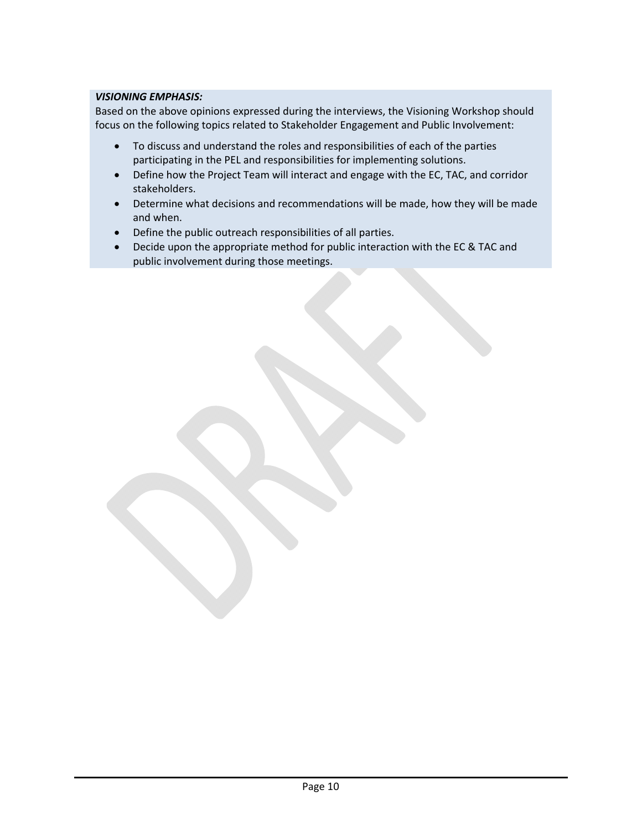#### *VISIONING EMPHASIS:*

Based on the above opinions expressed during the interviews, the Visioning Workshop should focus on the following topics related to Stakeholder Engagement and Public Involvement:

- To discuss and understand the roles and responsibilities of each of the parties participating in the PEL and responsibilities for implementing solutions.
- Define how the Project Team will interact and engage with the EC, TAC, and corridor stakeholders.
- Determine what decisions and recommendations will be made, how they will be made and when.
- Define the public outreach responsibilities of all parties.
- Decide upon the appropriate method for public interaction with the EC & TAC and public involvement during those meetings.